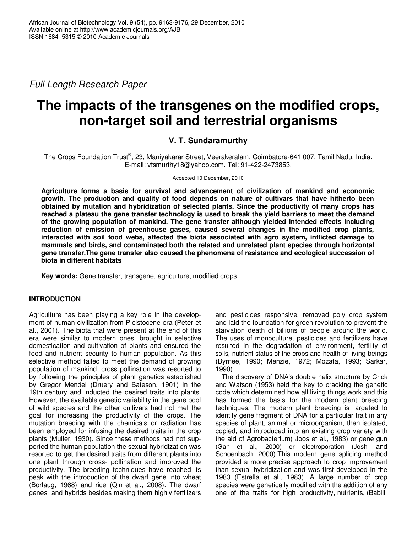*Full Length Research Paper*

# **The impacts of the transgenes on the modified crops, non-target soil and terrestrial organisms**

## **V. T. Sundaramurthy**

The Crops Foundation Trust®, 23, Maniyakarar Street, Veerakeralam, Coimbatore-641 007, Tamil Nadu, India. E-mail: vtsmurthy18@yahoo.com. Tel: 91-422-2473853.

#### Accepted 10 December, 2010

**Agriculture forms a basis for survival and advancement of civilization of mankind and economic growth. The production and quality of food depends on nature of cultivars that have hitherto been obtained by mutation and hybridization of selected plants. Since the productivity of many crops has** reached a plateau the gene transfer technology is used to break the yield barriers to meet the demand **of the growing population of mankind. The gene transfer although yielded intended effects including reduction of emission of greenhouse gases, caused several changes in the modified crop plants, interacted with soil food webs, affected the biota associated with agro system, inflicted damage to mammals and birds, and contaminated both the related and unrelated plant species through horizontal gene transfer.The gene transfer also caused the phenomena of resistance and ecological succession of biota in different habitats**

**Key words:** Gene transfer, transgene, agriculture, modified crops.

#### **INTRODUCTION**

Agriculture has been playing a key role in the development of human civilization from Pleistocene era (Peter et al., 2001). The biota that were present at the end of this era were similar to modern ones, brought in selective domestication and cultivation of plants and ensured the food and nutrient security to human population. As this selective method failed to meet the demand of growing population of mankind, cross pollination was resorted to by following the principles of plant genetics established by Gregor Mendel (Druery and Bateson, 1901) in the 19th century and inducted the desired traits into plants. However, the available genetic variability in the gene pool of wild species and the other cultivars had not met the goal for increasing the productivity of the crops. The mutation breeding with the chemicals or radiation has been employed for infusing the desired traits in the crop plants (Muller, 1930). Since these methods had not supported the human population the sexual hybridization was resorted to get the desired traits from different plants into one plant through cross- pollination and improved the productivity. The breeding techniques have reached its peak with the introduction of the dwarf gene into wheat (Borlaug, 1968) and rice (Qin et al., 2008). The dwarf genes and hybrids besides making them highly fertilizers

and pesticides responsive, removed poly crop system and laid the foundation for green revolution to prevent the starvation death of billions of people around the world. The uses of monoculture, pesticides and fertilizers have resulted in the degradation of environment, fertility of soils, nutrient status of the crops and health of living beings (Byrnee, 1990; Menzie, 1972; Mozafa, 1993; Sarkar, 1990).

The discovery of DNA's double helix structure by Crick and Watson (1953) held the key to cracking the genetic code which determined how all living things work and this has formed the basis for the modern plant breeding techniques. The modern plant breeding is targeted to identify gene fragment of DNA for a particular trait in any species of plant, animal or microorganism, then isolated, copied, and introduced into an existing crop variety with the aid of Agrobacterium( Joos et al., 1983) or gene gun (Gan et al., 2000) or electroporation (Joshi and Schoenbach, 2000).This modern gene splicing method provided a more precise approach to crop improvement than sexual hybridization and was first developed in the 1983 (Estrella et al., 1983). A large number of crop species were genetically modified with the addition of any one of the traits for high productivity, nutrients, (Babili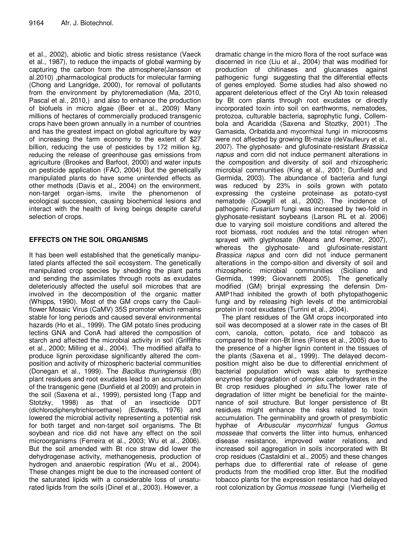et aI., 2002), abiotic and biotic stress resistance (Vaeck et al., 1987), to reduce the impacts of global warming by capturing the carbon from the atmosphere(Jansson et al.2010) ,pharmacological products for molecular farming (Chong and Langridge, 2000), for removal of pollutants from the environment by phytoremediation (Ma, 2010, Pascal et al., 2010,) and also to enhance the production of biofuels in micro algae (Beer et al., 2009) . Many millions of hectares of commercially produced transgenic crops have been grown annually in a number of countries and has the greatest impact on global agriculture by way of increasing the farm economy to the extent of \$27 billion, reducing the use of pesticides by 172 million kg, reducing the release of greenhouse gas emissions from agriculture (Brookes and Barfoot, 2000) and water inputs on pesticide application (FAO, 2004) . But the genetically manipulated plants do have some unintended effects as other methods (Davis et al., 2004) on the environment, non-target organ-isms, invite the phenomenon of ecological succession, causing biochemical lesions and interact with the health of living beings despite careful selection of crops.

## **EFFECTS ON THE SOIL ORGANISMS**

It has been well established that the genetically manipulated plants affected the soil ecosystem. The genetically manipulated crop species by shedding the plant parts and sending the assimilates through roots as exudates deleteriously affected the useful soil microbes that are involved in the decomposition of the organic matter (Whipps, 1990). Most of the GM crops carry the Cauliflower Mosaic Virus (CaMV) 35S promoter which remains stable for long periods and caused several environmental hazards (Ho et al., 1999). The GM potato lines producing lectins GNA and ConA had altered the composition of starch and affected the microbial activity in soil (Griffiths et al., 2000; Milling et al., 2004). . The modified alfalfa to produce lignin peroxidase significantly altered the composition and activity of rhizospheric bacterial communities (Donegan et al., 1999). The *Bacillus thuringiensis* (Bt) plant residues and root exudates lead to an accumulation of the transgenic gene (Dunfield et al 2009) and protein in the soil (Saxena et al., 1999), persisted long (Tapp and Stotzky, 1998) as that of an insecticide DDT (dichlorodiphenyltrichloroethane) (Edwards, 1976) and lowered the microbial activity representing a potential risk for both target and non-target soil organisms. The Bt soybean and rice did not have any effect on the soil microorganisms (Ferreira et al., 2003; Wu et al., 2006). But the soil amended with Bt rice straw did lower the dehydrogenase activity, methanogenesis, production of hydrogen and anaerobic respiration (Wu et al., 2004). These changes might be due to the increased content of the saturated lipids with a considerable loss of unsaturated lipids from the soils (Dinel et al., 2003). However, a

dramatic change in the micro flora of the root surface was discerned in rice (Liu et al., 2004) that was modified for production of chitinases and glucanases against pathogenic fungi suggesting that the differential effects of genes employed. Some studies had also showed no apparent deleterious effect of the Cryl Ab toxin released by Bt corn plants through root exudates or directly incorporated toxin into soil on earthworms, nematodes, protozoa, culturable bacteria, saprophytic fungi, Collembola and Acaridida (Saxena and Stoztky, 2001) .The Gamasida, Oribatida.and mycorrhizal fungi in microcosms were not affected by growing Bt-maize (deVaufleury et al., 2007). The glyphosate- and glufosinate-resistant *Brassica napus* and corn did not induce permanent alterations in the composition and diversity of soil and rhizospheric microbial communities (King et al., 2001; Dunfield and Germida, 2003). The abundance of bacteria and fungi was reduced by 23% in soils grown with potato expressing the cysteine proteinase as potato-cyst nematode (Cowgill et al., 2002). The incidence of pathogenic *Fusarium* fungi was increased by two-fold in glyphosate-resistant soybeans (Larson RL et al. 2006) due to varying soil moisture conditions and altered the root biomass, root nodules and the total nitrogen when sprayed with glyphosate (Means and Kremer, 2007), whereas the glyphosate- and glufosinate-resistant *Brassica napus* and corn did not induce permanent alterations in the compo-sition and diversity of soil and rhizospheric microbial communities (Siciliano and Germida, 1999; Giovannetti 2005). The genetically modified (GM) brinjal expressing the defensin Dm-AMP1had inhibited the growth of both phytopathogenic fungi and by releasing high levels of the antimicrobial protein in root exudates (Turrini et al., 2004).

The plant residues of the GM crops incorporated into soil was decomposed at a slower rate in the cases of Bt corn, canola, cotton, potato, rice and tobacco as compared to their non-Bt lines (Flores et al., 2005) due to the presence of a higher lignin content in the tissues of the plants (Saxena et al., 1999). The delayed decomposition might also be due to differential enrichment of bacterial population which was able to synthesize enzymes for degradation of complex carbohydrates in the Bt crop residues ploughed *in situ*.The lower rate of degradation of litter might be beneficial for the maintenance of soil structure. But longer persistence of Bt residues might enhance the risks related to toxin accumulation. The germinability and growth of presymbiotic hyphae of *Arbuscular mycorrhizal* fungus *Gomus mosseae* that converts the litter into humus, enhanced disease resistance, improved water relations, and increased soil aggregation in soils incorporated with Bt crop residues (Castaldini et al., 2005) and these changes perhaps due to differential rate of release of gene products from the modified crop litter. But the modified tobacco plants for the expression resistance had delayed root colonization by *Gomus mosseae* fungi (Vierheilig et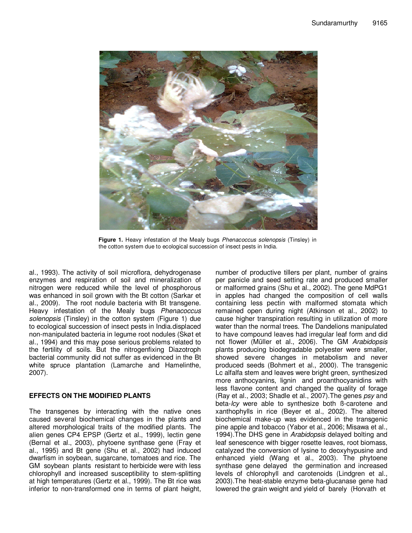

**Figure 1.** Heavy infestation of the Mealy bugs *Phenacoccus solenopsis* (Tinsley) in the cotton system due to ecological succession of insect pests in India.

al., 1993). The activity of soil microflora, dehydrogenase enzymes and respiration of soil and mineralization of nitrogen were reduced while the level of phosphorous was enhanced in soil grown with the Bt cotton (Sarkar et al., 2009). The root nodule bacteria with Bt transgene. Heavy infestation of the Mealy bugs *Phenacoccus solenopsis* (Tinsley) in the cotton system (Figure 1) due to ecological succession of insect pests in India.displaced non-manipulated bacteria in legume root nodules (Skøt et al., 1994) and this may pose serious problems related to the fertility of soils. But the nitrogenfixing Diazotroph bacterial community did not suffer as evidenced in the Bt white spruce plantation (Lamarche and Hamelinthe, 2007).

#### **EFFECTS ON THE MODIFIED PLANTS**

The transgenes by interacting with the native ones caused several biochemical changes in the plants and altered morphological traits of the modified plants. The alien genes CP4 EPSP (Gertz et al., 1999), lectin gene (Bernal et al., 2003), phytoene synthase gene (Fray et al., 1995) and Bt gene (Shu et al., 2002) had induced dwarfism in soybean, sugarcane, tomatoes and rice. The GM soybean plants resistant to herbicide were with less chlorophyll and increased susceptibility to stem-splitting at high temperatures (Gertz et al., 1999). The Bt rice was inferior to non-transformed one in terms of plant height,

number of productive tillers per plant, number of grains per panicle and seed setting rate and produced smaller or malformed grains (Shu et al., 2002). The gene MdPG1 in apples had changed the composition of cell walls containing less pectin with malformed stomata which remained open during night (Atkinson et al., 2002) to cause higher transpiration resulting in utilization of more water than the normal trees. The Dandelions manipulated to have compound leaves had irregular leaf form and did not flower (Müller et al., 2006). The GM *Arabidopsis* plants producing biodegradable polyester were smaller, showed severe changes in metabolism and never produced seeds (Bohmert et al., 2000). The transgenic Lc alfalfa stem and leaves were bright green, synthesized more anthocyanins, lignin and proanthocyanidins with less flavone content and changed the quality of forage (Ray et al., 2003; Shadle et al., 2007).The genes *psy* and beta-*lcy* were able to synthesize both ß-carotene and xanthophylls in rice (Beyer et al., 2002). The altered biochemical make-up was evidenced in the transgenic pine apple and tobacco (Yabor et al., 2006; Misawa et al., 1994).The DHS gene in *Arabidopsis* delayed bolting and leaf senescence with bigger rosette leaves, root biomass, catalyzed the conversion of lysine to deoxyhypusine and enhanced yield (Wang et al., 2003). The phytoene synthase gene delayed the germination and increased levels of chlorophyll and carotenoids (Lindgren et al., 2003).The heat-stable enzyme beta-glucanase gene had lowered the grain weight and yield of barely (Horvath et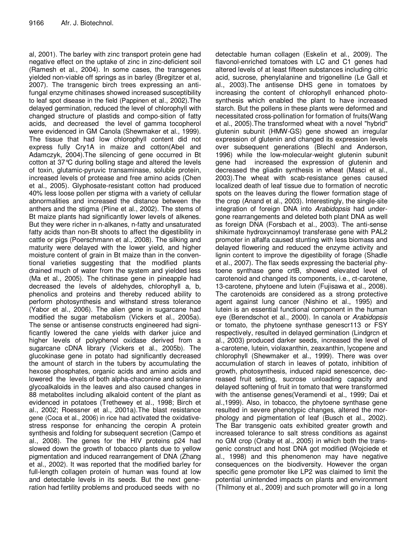al, 2001). The barley with zinc transport protein gene had negative effect on the uptake of zinc in zinc-deficient soil (Ramesh et al., 2004). In some cases, the transgenes yielded non-viable off springs as in barley (Bregitzer et al, 2007). The transgenic birch trees expressing an antifungal enzyme chitinases showed increased susceptibility to leaf spot disease in the field (Pappinen et al., 2002).The delayed germination, reduced the level of chlorophyll with changed structure of plastids and compo-sition of fatty acids, and decreased the level of gamma tocopherol were evidenced in GM Canola (Shewmaker et al., 1999). The tissue that had low chlorophyll content did not express fully Cry1A in maize and cotton(Abel and Adamczyk, 2004).The silencing of gene occurred in Bt cotton at 37°C during bolling stage and altered the levels of toxin, glutamic-pyruvic transaminase, soluble protein, increased levels of protease and free amino acids (Chen et al., 2005). Glyphosate-resistant cotton had produced 40% less loose pollen per stigma with a variety of cellular abnormalities and increased the distance between the anthers and the stigma (Pline et al., 2002). The stems of Bt maize plants had significantly lower levels of alkenes. But they were richer in n-alkanes, n-fatty and unsaturated fatty acids than non-Bt shoots to affect the digestibility in cattle or pigs (Poerschmann et al., 2008). The silking and maturity were delayed with the lower yield, and higher moisture content of grain in Bt maize than in the conventional varieties suggesting that the modified plants drained much of water from the system and yielded less (Ma et al., 2005). The chitinase gene in pineapple had decreased the levels of aldehydes, chlorophyll a, b, phenolics and proteins and thereby reduced ability to perform photosynthesis and withstand stress tolerance (Yabor et al., 2006). The alien gene in sugarcane had modified the sugar metabolism (Vickers et al., 2005a). The sense or antisense constructs engineered had significantly lowered the cane yields with darker juice and higher levels of polyphenol oxidase derived from a sugarcane cDNA library (Vickers et al., 2005b). The glucokinase gene in potato had significantly decreased the amount of starch in the tubers by accumulating the hexose phosphates, organic acids and amino acids and lowered the levels of both alpha-chaconine and solanine glycoalkaloids in the leaves and also caused changes in 88 metabolites including alkaloid content of the plant as evidenced in potatoes (Trethewey et al., 1998; Birch et al., 2002; Roessner et al., 2001a).The blast resistance gene (Coca et al., 2006) in rice had activated the oxidativestress response for enhancing the ceropin A protein synthesis and folding for subsequent secretion (Campo et al., 2008). The genes for the HIV proteins p24 had slowed down the growth of tobacco plants due to yellow pigmentation and induced rearrangement of DNA (Zhang et al., 2002). It was reported that the modified barley for full-length collagen protein of human was found at low and detectable levels in its seeds. But the next generation had fertility problems and produced seeds with no

detectable human collagen (Eskelin et al., 2009). The flavonol-enriched tomatoes with LC and C1 genes had altered levels of at least fifteen substances including citric acid, sucrose, phenylalanine and trigonelline (Le Gall et al., 2003).The antisense DHS gene in tomatoes by increasing the content of chlorophyll enhanced photosynthesis which enabled the plant to have increased starch. But the pollens in these plants were deformed and necessitated cross-pollination for formation of fruits(Wang et al., 2005).The transformed wheat with a novel "hybrid" glutenin subunit (HMW-GS) gene showed an irregular expression of glutenin and changed its expression levels over subsequent generations (Blechl and Anderson, 1996) while the low-molecular-weight glutenin subunit gene had increased the expression of glutenin and decreased the gliadin synthesis in wheat (Masci et al., 2003).The wheat with scab-resistance genes caused localized death of leaf tissue due to formation of necrotic spots on the leaves during the flower formation stage of the crop (Anand et al., 2003). Interestingly, the single-site integration of foreign DNA into *Arabidopsis* had undergone rearrangements and deleted both plant DNA as well as foreign DNA (Forsbach et al., 2003). The anti-sense shikimate hydroxycinnamoyl transferase gene with PAL2 promoter in alfalfa caused stunting with less biomass and delayed flowering and reduced the enzyme activity and lignin content to improve the digestibility of forage (Shadle et al., 2007). The flax seeds expressing the bacterial phytoene synthase gene crtB, showed elevated level of carotenoid and changed its components, i.e., ct-carotene, 13-carotene, phytoene and lutein (Fujisawa et al., 2008). The carotenoids are considered as a strong protective agent against lung cancer (Nishino et al., 1995) and lutein is an essential functional component in the human eye (Berendschot et al., 2000). In canola or *Arabidopsis* or tomato, the phytoene synthase genescr113 or FSY respectively, resulted in delayed germination (Lindgrcn et al., 2003) produced darker seeds, increased the level of a-carotene, lutein, violaxanthin, zeaxanthin, lycopene and chlorophyll (Shewmaker et al., 1999). There was over accumulation of starch in leaves of potato, inhibition of growth, photosynthesis, induced rapid senescence, decreased fruit setting, sucrose unloading capacity and delayed softening of fruit in tomato that were transformed with the antisense genes(Veramendi et al., 1999; Dai et al.,1999). Also, in tobacco, the phytoene synthase gene resulted in severe phenotypic changes, altered the morphology and pigmentation of leaf (Busch et al., 2002). The Bar transgenic oats exhibited greater growth and increased tolerance to salt stress conditions as against no GM crop (Oraby et al., 2005) in which both the transgenic construct and host DNA got modified (Wojciede et al., 1998) and this phenomenon may have negative consequences on the biodiversity. However the organ specific gene promoter like LP2 was claimed to limit the potential unintended impacts on plants and environment (Thilmony et al., 2009) and such promoter will go in a long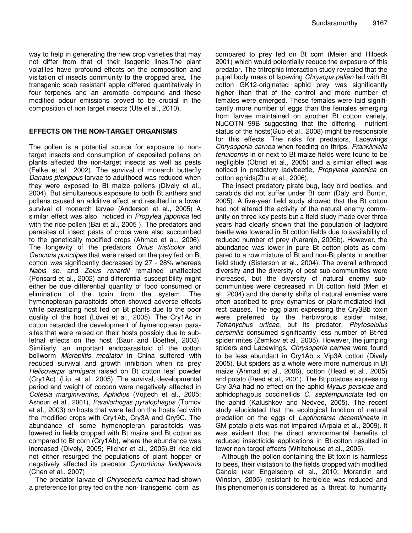way to help in generating the new crop varieties that may not differ from that of their isogenic lines.The plant volatiles have profound effects on the composition and visitation of insects community to the cropped area. The transgenic scab resistant apple differed quantitatively in four terpenes and an aromatic compound and these modified odour emissions proved to be crucial in the composition of non target insects (Ute et al., 2010).

#### **EFFECTS ON THE NON-TARGET ORGANISMS**

The pollen is a potential source for exposure to nontarget insects and consumption of deposited pollens on plants affected the non-target insects as well as pests (Felke et al., 2002). The survival of monarch butterfly *Danaus plexippus* larvae to adulthood was reduced when they were exposed to Bt maize pollens (Dively et al., 2004). But simultaneous exposure to both Bt anthers and pollens caused an additive effect and resulted in a lower survival of monarch larvae (Anderson et al., 2005) A similar effect was also noticed in *Propylea japonica* fed with the rice pollen (Bai et al., 2005 ). The predators and parasites of insect pests of crops were also succumbed to the genetically modified crops (Ahmad et al., 2006). The longevity of the predators *Orius tristicolor* and *Geocoris punctipes* that were raised on the prey fed on Bt cotton *was* significantly decreased by 27 - 28% whereas *Nabis sp*. and *Zelus renardii* remained unaffected (Ponsard et al., 2002) and differential susceptibility might either be due differential quantity of food consumed or elimination of the toxin from the system. The hymenopteran parasitoids often showed adverse effects while parasitizing host fed on Bt plants due to the poor quality of the host (Lövei et al., 2005). The Cry1Ac in cotton retarded the development of hymenopteran parasites that were raised on their hosts possibly due to sublethal effects on the host (Baur and Boethel, 2003). Similiarly, an important endoparasitoid of the cotton bollworm *Microplitis mediator* in China suffered with reduced survival and growth inhibition when its prey *Helicoverpa armigera* raised on Bt cotton leaf powder (Cry1Ac) (Liu et al., 2005). The survival, developmental period and weight of cocoon were negatively affected in *Cotesia marginiventris*, *Aphidius* (Vojtech et al., 2005; Ashouri et al., 2001), *Parallorhogas pyralophagus* (Tomov et al., 2003) *on* hosts that were fed on the hosts fed with the modified crops with Cry1Ab, Cry3A and Cry9C. The abundance of some hymenopteran parasitoids was lowered in fields cropped with Bt maize and Bt cotton as compared to Bt corn (Cry1Ab), where the abundance was increased (Dively, 2005; Pilcher et al., 2005).Bt rice did not either resurged the populations of plant hopper or negatively affected its predator *Cyrtorhinus lividipennis* (Chen et al., 2007)

The predator larvae of *Chrysoperla carnea* had shown a preference for prey fed on the non- transgenic corn as

compared to prey fed on Bt corn (Meier and Hilbeck 2001) which would potentially reduce the exposure of this predator. The tritrophic interaction study revealed that the pupal body mass of lacewing *Chrysopa pallen* fed with Bt cotton GK12-originated aphid prey was significantly higher than that of the control and more number of females were emerged. These females were laid significantly more number of eggs than the females emerging from larvae maintained on another Bt cotton variety, NuCOTN 99B suggesting that the differing nutrient status of the hosts(Guo et al., 2008) might be responsible for this effects. The risks for predators, Lacewings *Chrysoperla carnea* when feeding on thrips, *Frankliniella tenuicornis* in or next to Bt maize fields were found to be negligible (Obrist et al., 2005) and a similar effect was noticed in predatory ladybeetle, *Propylaea japonica* on cotton aphids(Zhu et al., 2006).

The insect predatory pirate bug, lady bird beetles, and carabids did not suffer under Bt corn (Daly and Buntin, 2005). A five-year field study showed that the Bt cotton had not altered the activity of the natural enemy community on three key pests but a field study made over three years had clearly shown that the population of ladybird beetle was lowered in Bt cotton fields due to availability of reduced number of prey (Naranjo, 2005b). However, the abundance was lower in pure Bt cotton plots as compared to a row mixture of Bt and non-Bt plants in another field study (Sisterson et al., 2004). The overall arthropod diversity and the diversity of pest sub-communities were increased, but the diversity of natural enemy subcommunities were decreased in Bt cotton field (Men et al., 2004) and the density shifts of natural enemies were often ascribed to prey dynamics or plant-mediated indirect causes. The egg plant expressing the Cry3Bb toxin were preferred by the herbivorous spider mites, *Tetranychus urticae*, but its predator, *Phytoseiulus persimilis* consumed significantly less number of Bt-fed spider mites (Zemkov et al., 2005). However, the jumping spiders and Lacewings, *Chrysoperla carnea* were found to be less abundant in Cry1Ab  $\times$  Vip3A cotton (Dively 2005). But spiders as a whole were more numerous in Bt maize (Ahmad et al., 2006), cotton (Head et al., 2005) and potato (Reed et al., 2001). The Bt potatoes expressing Cry 3Aa had no effect on the aphid *Myzus persicae* and aphidophagous coccinellids *C. septempunctata* fed on the aphid (Kalushkov and Nedved, 2005). The recent study elucidated that the ecological function of natural predation on the eggs of *Leptinotarsa decemlineata* in GM potato plots was not impaired (Arpaia et al., 2009). It was evident that the direct environmental benefits of reduced insecticide applications in Bt-cotton resulted in fewer non-target effects (Whitehouse et al., 2005).

Although the pollen containing the Bt toxin is harmless to bees, their visitation to the fields cropped with modified Canola (van Engelsdorp et al., 2010; Morandin and Winston, 2005) resistant to herbicide was reduced and this phenomenon is considered as a threat to humanity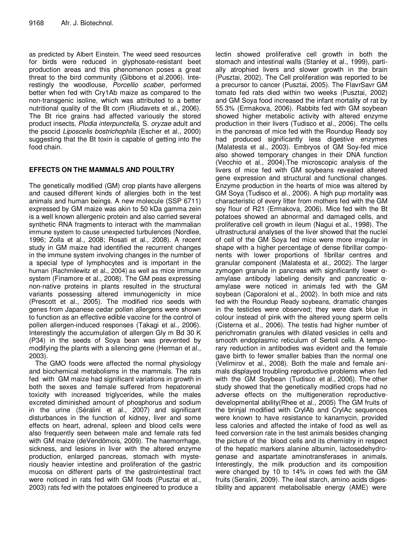as predicted by Albert Einstein. The weed seed resources for birds were reduced in glyphosate-resistant beet production areas and this phenomenon poses a great threat to the bird community (Gibbons et al.2006). Interestingly the woodlouse, *Porcellio scaber*, performed better when fed with Cry1Ab maize as compared to the non-transgenic isoline, which was attributed to a better nutritional quality of the Bt corn (Riudavets et al., 2006). The Bt rice grains had affected variously the stored product insects*, Plodia interpunctella*, S*. oryzae* adult and the psocid *Liposcelis bostrichophila* (Escher et al., 2000) suggesting that the Bt toxin is capable of getting into the food chain.

## **EFFECTS ON THE MAMMALS AND POULTRY**

The genetically modified (GM) crop plants have allergens and caused different kinds of allergies both in the test animals and human beings. A new molecule (SSP 6711) expressed by GM maize was akin to 50 kDa gamma zein is a well known allergenic protein and also carried several synthetic RNA fragments to interact with the mammalian immune system to cause unexpected turbulences (Nordlee, 1996; Zolla et al., 2008; Rosati et al., 2008). A recent study in GM maize had identified the recurrent changes in the immune system involving changes in the number of a special type of lymphocytes and is important in the human (Rachmilewitz et al., 2004) as well as mice immune system (Finamore et al., 2008). The GM peas expressing non-native proteins in plants resulted in the structural variants possessing altered immunogenicity in mice (Prescott et al., 2005). The modified rice seeds with genes from Japanese cedar pollen allergens were shown to function as an effective edible vaccine for the control of pollen allergen-induced responses (Takagi et al., 2006). Interestingly the accumulation of allergen Gly m Bd 30 K (P34) in the seeds of Soya bean was prevented by modifying the plants with a silencing gene (Herman et al., 2003).

The GMO foods were affected the normal physiology and biochemical metabolisms in the mammals. The rats fed with GM maize had significant variations in growth in both the sexes and female suffered from hepatorenal toxicity with increased triglycerides, while the males excreted diminished amount of phosphorus and sodium in the urine (Séralini et al., 2007) and significant disturbances in the function of kidney, liver and some effects on heart, adrenal, spleen and blood cells were also frequently seen between male and female rats fed with GM maize (deVendômois, 2009). The haemorrhage, sickness, and lesions in liver with the altered enzyme production, enlarged pancreas, stomach with mysteriously heavier intestine and proliferation of the gastric mucosa on different parts of the gastrointestinal tract were noticed in rats fed with GM foods (Pusztai et al., 2003) rats fed with the potatoes engineered to produce a

lectin showed proliferative cell growth in both the stomach and intestinal walls (Stanley et al., 1999), partially atrophied livers and slower growth in the brain (Pusztai, 2002). The Cell proliferation was reported to be a precursor to cancer (Pusztai, 2005). The FlavrSavr GM tomato fed rats died within two weeks (Pusztai, 2002) and GM Soya food increased the infant mortality of rat by 55.3% (Ermakova, 2006). Rabbits fed with GM soybean showed higher metabolic activity with altered enzyme production in their livers (Tudisco et al., 2006). The cells in the pancreas of mice fed with the Roundup Ready soy had produced significantly less digestive enzymes (Malatesta et al., 2003). Embryos of GM Soy-fed mice also showed temporary changes in their DNA function (Vecchio et al., 2004).The microscopic analysis of the livers of mice fed with GM soybeans revealed altered gene expression and structural and functional changes. Enzyme production in the hearts of mice was altered by GM Soya (Tudisco et al., 2006). A high pup mortality was characteristic of every litter from mothers fed with the GM soy flour of R21 (Ermakova, 2006). Mice fed with the Bt potatoes showed an abnormal and damaged cells, and proliferative cell growth in ileum (Nagui et al., 1998). The ultrastructural analyses of the liver showed that the nuclei of cell of the GM Soya fed mice were more irregular in shape with a higher percentage of dense fibrillar components with lower proportions of fibrillar centres and granular component (Malatesta et al., 2002). The larger zymogen granule in pancreas with significantly lower  $\alpha$ amylase antibody labeling density and pancreatic  $\alpha$ amylase were noticed in animals fed with the GM soybean (Caporaloni et al., 2002). In both mice and rats fed with the Roundup Ready soybeans, dramatic changes in the testicles were observed; they were dark blue in colour instead of pink with the altered young sperm cells (Cisterna et al., 2006). The testis had higher number of perichromatin granules with dilated vesicles in cells and smooth endoplasmic reticulum of Sertoli cells. A temporary reduction in antibodies was evident and the female gave birth to fewer smaller babies than the normal one (Velimirov et al., 2008). Both the male and female animals displayed troubling reproductive problems when fed with the GM Soybean (Tudisco et al., 2006). The other study showed that the genetically modified crops had no adverse effects on the multigeneration reproductivedevelopmental ability(Rhee et al., 2005) The GM fruits of the brinjal modified with CrylAb and CrylAc sequences were known to have resistance to kanamycin, provided less calories and affected the intake of food as well as feed conversion rate in the test animals besides changing the picture of the blood cells and its chemistry in respect of the hepatic markers alanine albumin, lactosedehydrogenase and aspartate aminotransferases in animals. Interestingly, the milk production and its composition were changed by 10 to 14% in cows fed with the GM fruits (Seralini, 2009). The ileal starch, amino acids digestibility and apparent metabolisable energy (AME) were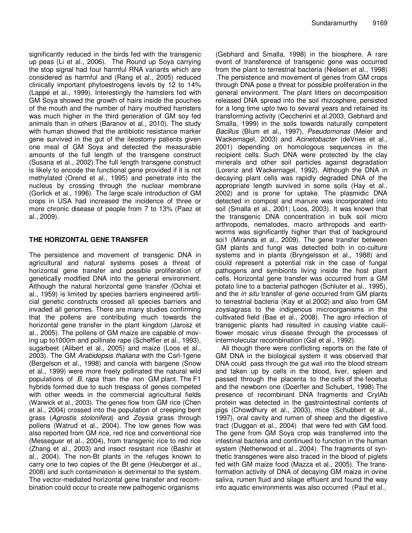significantly reduced in the birds fed with the transgenic up peas (Li et al., 2006). The Round up Soya carrying the stop signal had four harmful RNA variants which are considered as harmful and (Rang et al., 2005) reduced clinically important phytoestrogens levels by 12 to 14% (Lappé et al., 1999). Interestingly the hamsters fed with GM Soya showed the growth of hairs inside the pouches of the mouth and the number of hairy mouthed hamsters was much higher in the third generation of GM soy fed animals than in others (Baranov et al., 2010). The study with human showed that the antibiotic resistance marker gene survived in the gut of the ileostomy patients given one meal of GM Soya and detected the measurable amounts of the full length of the transgene construct (Susana et al., 2002).The full length transgene construct is likely to encode the functional gene provided if it is not methylated (Orend et al., 1995) and penetrate into the nucleus by crossing through the nuclear membrane (Gorlick et al., 1996). The large scale introduction of GM crops in USA had increased the incidence of three or more chronic disease of people from 7 to 13% (Paez et al., 2009).

#### **THE HORIZONTAL GENE TRANSFER**

The persistence and movement of transgenic DNA in agricultural and natural systems poses a threat of horizontal gene transfer and possible proliferation of genetically modified DNA into the general environment. Although the natural horizontal gene transfer (Ochiai et al., 1959) is limited by species barriers engineered artificial genetic constructs crossed all species barriers and invaded all genomes. There are many studies confirming that the pollens are contributing much towards the horizontal gene transfer in the plant kingdom (Jarosz et al., 2005). The pollens of GM maize are capable of moving up to1000m and pollinate rape (Scheffler et al., 1993), sugarbeet (Alibert et al., 2005) and maize (Loos et al., 2003). The GM *Arabidopsis thaliana* with the Csrl-1gene (Bergelson et al., 1998) and canola with bargene (Snow et al., 1999) were more freely pollinated the natural wild populations of *B. rapa* than the non GM plant. The F1 hybrids formed due to such trespass of genes competed with other weeds in the commercial agricultural fields (Warwick et al., 2003). The genes flow from GM rice (Chen et al., 2004) crossed into the population of creeping bent grass (*Agrostis stolonifera*) and *Zoysia* grass through pollens (Watrud et al., 2004). The low genes flow was also reported from GM rice, red rice and conventional rice (Messeguer et al., 2004), from transgenic rice to red rice (Zhang et al., 2003) and insect resistant rice (Bashir et al., 2004). The non-Bt plants in the refuges known to carry one to two copies of the Bt gene (Heuberger et al., 2008) and such contamination is detrimental to the system. The vector-mediated horizontal gene transfer and recombination could occur to create new pathogenic organisms

(Gebhard and Smalla, 1998) in the biosphere. A rare event of transference of transgenic gene was occurred from the plant to terrestrial bacteria (Nielsen et al., 1998) .The persistence and movement of genes from GM crops through DNA pose a threat for possible proliferation in the general environment. The plant litters on decomposition released DNA spread into the soil rhizosphere, persisted for a long time upto two to several years and retained its transforming activity (Ceccherini et al.2003, Gebhard and Smalla, 1999) in the soils towards naturally competent *Bacillus* (Blum et al., 1997), *Pseudomonas* (Meier and Wackernagel, 2003) and *Acinetobacter* (deVries et al., 2001) depending on homologous sequences in the recipient cells. Such DNA were protected by the clay minerals and other soil particles against degradation (Lorenz and Wackernagel, 1992). Although the DNA in decaying plant cells was rapidly degraded DNA of the appropriate length survived in some soils (Hay et al., 2002) and is prone for uptake. The plasmidic DNA detected in compost and manure was incorporated into soil (Smalla et al., 2001; Loos, 2003). It was known that the transgenic DNA concentration in bulk soil micro arthropods, nematodes, macro arthropods and earthworms was significantly higher than that of background soi1 (Miranda et al., 2009). The gene transfer between GM plants and fungi was detected both in co-culture systems and in planta (Bryngelsson et al., 1988) and could represent a potential risk in the case of fungal pathogens and symbionts living inside the host plant cells. Horizontal gene transfer was occurred from a GM potato line to a bacterial pathogen (Schluter et al., 1995), and the *in situ* transfer of gene occurred from GM plants to terrestrial bacteria (Kay et al.2002) and also from GM zoysiagrass to the indigenous microorganisms in the cultivated field (Bae et al., 2008). The agro infection of transgenic plants had resulted in causing viable cauliflower mosaic virus disease through the processes of intermolecular recombination (Gal et al., 1992).

All though there were conflicting reports on the fate of GM DNA in the biological system it was observed that DNA could pass through the gut wall into the blood stream and taken up by cells in the blood, liver, spleen and passed through the placenta to the cells of the feoetus and the newborn one (Doerfler and Schubert, 1998).The presence of recombinant DNA fragments and CrylAb protein was detected in the gastrointestinal contents of pigs (Chowdhury et al., 2003), mice (Schubbert et al., 1997), oral cavity and rumen of sheep and the digestive tract (Duggan et al., 2004) that were fed with GM food. The gene from GM Soya crop was transferred into the intestinal bacteria and continued to function in the human system (Netherwood et al., 2004). The fragments of synthetic transgenes were also traced in the blood of piglets fed with GM maize food (Mazza et al., 2005). The transformation activity of DNA of decaying GM maize in ovine saliva, rumen fluid and silage effluent and found the way into aquatic environments was also occurred (Paul et al.,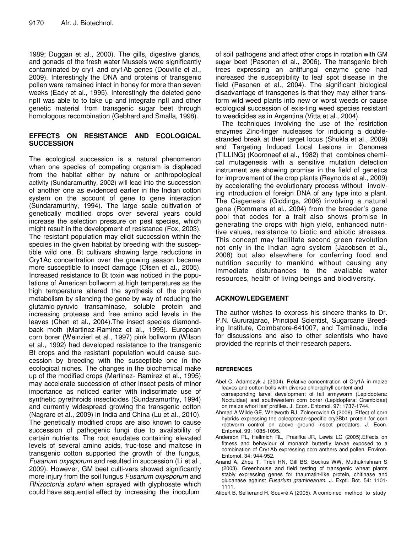1989; Duggan et al., 2000). The gills, digestive glands, and gonads of the fresh water Mussels were significantly contaminated by cry1 and cry1Ab genes (Douville et al., 2009). Interestingly the DNA and proteins of transgenic pollen were remained intact in honey for more than seven weeks (Eady et al., 1995). Interestingly the deleted gene npII was able to to take up and integrate npII and other genetic material from transgenic sugar beet through homologous recombination (Gebhard and Smalla, 1998).

#### **EFFECTS ON RESISTANCE AND ECOLOGICAL SUCCESSION**

The ecological succession is a natural phenomenon when one species of competing organism is displaced from the habitat either by nature or anthropological activity (Sundaramurthy, 2002) will lead into the succession of another one as evidenced earlier in the Indian cotton system on the account of gene to gene interaction (Sundaramurthy, 1994). The large scale cultivation of genetically modified crops over several years could increase the selection pressure on pest species, which might result in the development of resistance (Fox, 2003). The resistant population may elicit succession within the species in the given habitat by breeding with the susceptible wild one. Bt cultivars showing large reductions in Cry1Ac concentration over the growing season became more susceptible to insect damage (Olsen et al., 2005). Increased resistance to Bt toxin was noticed in the populations of American bollworm at high temperatures as the high temperature altered the synthesis of the protein metabolism by silencing the gene by way of reducing the glutamic-pyruvic transaminase, soluble protein and increasing protease and free amino acid levels in the leaves (Chen et al., 2004).The insect species diamondback moth (Martinez-Ramirez et al., 1995). European corn borer (Weinzierl et al., 1997) pink bollworm (Wilson et al., 1992) had developed resistance to the transgenic Bt crops and the resistant population would cause succession by breeding with the susceptible one in the ecological niches. The changes in the biochemical make up of the modified crops (Martinez- Ramirez et al., 1995) may accelerate succession of other insect pests of minor importance as noticed earlier with indiscrimate use of synthetic pyrethroids insecticides (Sundaramurthy, 1994) and currently widespread growing the transgenic cotton (Nagrare et al., 2009) in India and China (Lu et al., 2010). The genetically modified crops are also known to cause succession of pathogenic fungi due to availability of certain nutrients. The root exudates containing elevated levels of several amino acids, fruc-tose and maltose in transgenic cotton supported the growth of the fungus, *Fusarium oxysporum* and resulted in succession (Li et al., 2009). However, GM beet culti-vars showed significantly more injury from the soil fungus *Fusarium oxysporum* and *Rhizoctonia solani* when sprayed with glyphosate which could have sequential effect by increasing the inoculum

of soil pathogens and affect other crops in rotation with GM sugar beet (Pasonen et al., 2006). The transgenic birch trees expressing an antifungal enzyme gene had increased the susceptibility to leaf spot disease in the field (Pasonen et al., 2004). The significant biological disadvantage of transgenes is that they may either transform wild weed plants into new or worst weeds or cause ecological succession of exis-ting weed species resistant to weedicides as in Argentina (Vitta et al., 2004).

The techniques involving the use of the restriction enzymes Zinc-finger nucleases for inducing a doublestranded break at their target locus (Shukla et al., 2009) and Targeting Induced Local Lesions in Genomes (TILLING) (Koornneef et al., 1982) that combines chemical mutagenesis with a sensitive mutation detection instrument are showing promise in the field of genetics for improvement of the crop plants (Reynolds et al., 2009) by accelerating the evolutionary process without involving introduction of foreign DNA of any type into a plant. The Cisgenesis (Giddings, 2006) involving a natural gene (Rommens et al., 2004) from the breeder's gene pool that codes for a trait also shows promise in generating the crops with high yield, enhanced nutritive values, resistance to biotic and abiotic stresses. This concept may facilitate second green revolution not only in the Indian agro system (Jacobsen et al., 2008) but also elsewhere for conferring food and nutrition security to mankind without causing any immediate disturbances to the available water resources, health of living beings and biodiversity.

### **ACKNOWLEDGEMENT**

The author wishes to express his sincere thanks to Dr. P.N. Gururajarao, Principal Scientist, Sugarcane Breeding Institute, Coimbatore-641007, and Tamilnadu, India for discussions and also to other scientists who have provided the reprints of their research papers.

#### **REFERENCES**

- Abel C, Adamczyk J (2004). Relative concentration of Cry1A in maize leaves and cotton bolls with diverse chlorophyll content and corresponding larval development of fall armyworm (Lepidoptera: Noctuidae) and southwestern corn borer (Lepidoptera: Crambidae)
- on maize whorl leaf profiles. J. Econ. Entomol. 97: 1737-1744. Ahmad A Wilde GE, Whitworth RJ, Zolnerowich G (2006). Effect of corn hybrids expressing the coleopteran-specific cry3Bb1 protein for corn rootworm control on above ground insect predators. J. Econ. Entomol. 99: 1085-1095.
- Anderson PL, Hellmich RL, Prasifka JR, Lewis LC (2005).Effects on fitness and behaviour of monarch butterfly larvae exposed to a combination of Cry1Ab expressing corn anthers and pollen. Environ. Entomol. 34: 944-952.
- Anand A, Zhou T, Trick HN, Gill BS, Bockus WW, Muthukrishnan S (2003). Greenhouse and field testing of transgenic wheat plants stably expressing genes for thaumatin-like protein, chitinase and glucanase against *Fusarium graminearum*. J. Exptl. Bot. 54: 1101- 1111.
- Alibert B, Sellierand H, Souvré A (2005). A combined method to study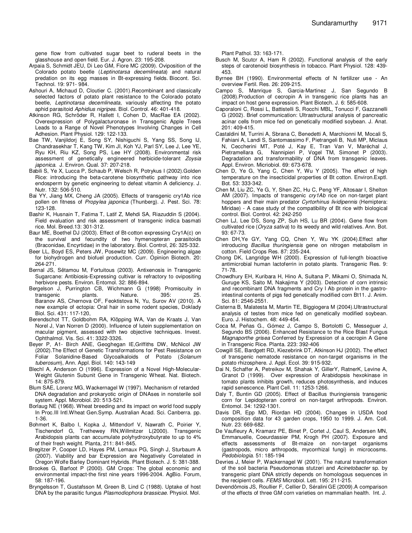gene flow from cultivated sugar beet to ruderal beets in the glasshouse and open field. Eur. J. Agron. 23: 195-208.

- Arpaia S, Schmidt JEU, Di Leo GM, Fiore MC (2009). Oviposition of the Colorado potato beetle (*Leptinotarsa decemlineata*) and natural predation on its egg masses in Bt-expressing fields. Biocont. Sci. Technol. 19: 971- 984.
- Ashouri A, Michaud D, Cloutier C. (2001).Recombinant and classically selected factors of potato plant resistance to the Colorado potato beetle, *Leptinotarsa decemlineata*, variously affecting the potato aphid parasitoid *Aphidius nigripes*. Biol. Control. 46: 401-418.
- Atkinson RG, Schröder R, Hallett I, Cohen D, MacRae EA (2002). Overexpression of Polygalacturonase in Transgenic Apple Trees Leads to a Range of Novel Phenotypes Involving Changes in Cell Adhesion. Plant Physiol. 129: 122-133.
- Bae TW, Vanjildorj E, Song SY, Nishiguchi S, Yang SS, Song IJ, Chandrasekhar T, Kang TW, Kim JI, Koh YJ, Parl SY, Lee J, Lee YE, Ryu KH, Riu KZ, Song PS, Lee HY (2008). Environmental risk assessment of genetically engineered herbicide-tolerant *Zoysia japonica*. J. Environ. Qual. 37: 207-218.
- Babili S, Ye X, Lucca P, Schaub P, Welsch R, Potrykus I (2002).Golden Rice: introducing the beta-carotene biosynthetic pathway into rice endosperm by genetic engineering to defeat vitamin A deficiency. J. Nutr. 132: 506-510.
- Bai YY, Jiang MX, Cheng JA (2005). Effects of transgenic cry1Ab rice pollen on fitness of *Propylea japonica* (Thunberg). J. Pest. Sci. 78: 123-128.
- Bashir K, Husnain T, Fatima T, Latif Z, Mehdi SA, Riazuddin S (2004). Field evaluation and risk assessment of transgenic indica basmati rice. Mol. Breed.13: 301-312.
- Baur ME, Boethel DJ (2003). Effect of Bt-cotton expressing Cry1A(c) on the survival and fecundity of two hymenopteran parasitoids (Braconidae, Encyrtidae) in the laboratory. Biol. Control, 26: 325-332.
- Beer LL, Boyd ES, Peters JW, Posewitz MC (2009). Engineering algae for biohydrogen and biofuel production. Curr. Opinion Biotech. 20: 264-271.
- Bernal JS, Sëtamou M, Fortuitous (2003). Antixenosis in Transgenic Sugarcane: Antibiosis-Expressing cultivar is refractory to ovipositing herbivore pests. Environ. Entomol. 32: 886-894.
- Bergelson J, Purrington CB, Wichmann G (1998) Promiscuity in transgenic plants. Nature. 395: 25. Baranov AS, Chernova OF, Feoktistova N, Yu, Surov AV (2010). A new example of ectopia: Oral hair in some rodent species, Doklady Biol. Sci. 431: 117-120,
- Berendschot TT, Goldbohm RA, Klöpping WA, Van de Kraats J, Van Norel J, Van Norren D (2000). Influence of lutein supplementation on macular pigment, assessed with two objective techniques. Invest. Ophthalmol. Vis. Sci. 41: 3322-3326.
- Beyer P, A1- Birch ANE, Geoghegan IE,Griffiths DW, McNicol JW (2002).The Effect of Genetic Transformations for Pest Resistance on Foliar Solanidine-Based Glycoalkaloids of Potato (*Solanum tuberosum*), Ann. Appl. Biol. 140: 143-149
- Blechl A, Anderson O (1996). Expression of a Novel High-Molecular-Weight Glutenin Subunit Gene in Transgenic Wheat. Nat. Biotech. 14: 875-879.
- Blum SAE, Lorenz MG, Wackernagel W (1997). Mechanism of retarded DNA degradation and prokaryotic origin of DNAses in nonsterile soil system. Appl. Microbiol. 20: 513-521.
- Borlaug NE (1968). Wheat breeding and its impact on world food supply In Proc.III Intl.Wheat Gen.Symp. Australian Acad. Sci. Canberra. pp. 1-36.
- Bohmert K, Balbo I, Kopka J, Mittendorf V, Nawrath C, Poirier Y, Tischendorf G, Trethewey RN,Willmitzer L(2000). Transgenic Arabidopsis plants can accumulate polyhydroxybutyrate to up to 4% of their fresh weight. Planta, 211: 841-845.
- Bregitzer P, Cooper LD, Hayes PM, Lemaux PG, Singh J, Sturbaum A (2007). Viability and bar Expression are Negatively Correlated in Oregon Wolfe Barley Dominant Hybrids. Plant Biotech. J. 5: 381-388.
- Brookes G, Barfoot P (2000). GM Crops: The global economic and environmental impact-the first nine years 1996-2004. AgBio. Forum, 58: 187-196.
- Bryngelsson T, Gustafsson M, Green B, Lind C (1988). Uptake of host DNA by the parasitic fungus *Plasmodiophora brassicae*. Physiol. Mol.

Plant Pathol. 33: 163-171.

- Busch M, Scutcr A, Ham R (2002). Functional analysis of the early steps of carotenoid biosynthesis in tobacco. Plant Physiol. 128: 439- 453.
- Byrnee BH (1990). Environmental effects of N fertilizer use An overview Fertil. Res. 26: 209-215.
- Campo S, Manrique S, Garcia-Martinez J, San Segundo B (2008).Production of cecropin A in transgenic rice plants has an impact on host gene expression. Plant Biotech. J. 6: 585-608.
- Caporaloni C, Rossi L, Battistelli S, Rocchi MBL, Tonucci F, Gazzanelli G (2002). Brief communication: Ultrastructural analysis of pancreatic acinar cells from mice fed on genetically modified soybean. J. Anat. 201: 409-415.
- Castaldini M, Turrini A, Sbrana C, Benedetti A, Marchionni M, Mocali S, Fahiani A, Landi S, Santomassimo F, Pietrangeli B, Nuti MP, Miclaus N, Ceccherini MT, Poté J, Kay E, Tran Van V, Maréchal J, Pietramellara G, Nannipieri P, Vogel TM, Simonet P (2003). Degradation and transformability of DNA from transgenic leaves. Appl. Environ. Micriobiol. 69: 673-678.
- Chen D, Ye G, Yang C, Chen Y, Wu Y (2005). The effect of high temperature on the insecticidal properties of Bt cotton. Environ.Exptl. Bot. 53: 333-342.
- Chen M, Liu ZC, Ye G, Y, Shen ZC, Hu C, Peng YF, Altosaar I, Shelton AM (2007). Impacts of transgenic *cry1Ab* rice on non-target plant hoppers and their main predator *Cyrtorhinus lividipennis* (Hemiptera: Miridae) - A case study of the compatibility of Bt rice with biological control. Biol. Control. 42: 242-250
- Chen LJ, Lee DS, Song ZP, Suh HS, Lu BR (2004). Gene flow from cultivated rice (*Oryza sativa*) to its weedy and wild relatives. Ann. Bot. 93: 67-73.
- Chen DH,Ye GY, Yang CQ, Chen Y, Wu YK (2004).Effect after introducing *Bacillus thuringiensis* gene on nitrogen metabolism in cotton. Field Crops Res. 87: 235-244.
- Chong DK, Langridge WH (2000). Expression of full-length bioactive antimicrobial human lactoferrin in potato plants. Transgenic Res. 9: 71-78.
- Chowdhury EH, Kuribara H, Hino A, Sultana P, Mikami O, Shimada N, Guruge KS, Saito M, Nakajima Y (2003). Detection of corn intrinsic and recombinant DNA fragments and Cry l Ab protein in the gastrointestinal contents of pigs fed genetically modified corn Bt11. J. Anim. Sci. 81: 2546-2551.
- Cisterna B, Malatesta M, Martin TE, Biggiogera M (2004).Ultrastructural analysis of testes from mice fed on genetically modified soybean. Euro. J. Histochem. 48: 449-454.
- Coca M, Peñas G., Gómez J, Campo S, Bortolotti C, Messeguer J, Segundo BS (2006). Enhanced Resistance to the Rice Blast Fungus *Magnaporthe grisea* Conferred by Expression of a cecropin A Gene in Transgenic Rice. Planta. 223: 392-406
- Cowgill SE, Bardgett RD, Kiezebrink DT, Atkinson HJ (2002). The effect of transgenic nematode resistance on non-target organisms in the potato rhizosphere. J. Appl. Ecol. 39: 915-932.
- Dai N, Schaffer A, Petreikov M, Shahak Y, GillerY, RatnerK, Levine A, Granot D (1999). Over expression of Arabidopsis hexokinase in tomato plants inhibits growth, reduces photosynthesis, and induces rapid senescence. Plant Cell. 11: 1253-1266.
- Daly T, Buntin GD (2005). Effect of Bacillus thuringiensis transgenic corn for Lepidopteran control on non-target arthropods. Environ. Entomol. 34: 1292-1301.
- Davis DR, Epp MD, Riordan HD (2004). Changes in USDA food composition data for 43 garden crops, 1950 to 1999. J. Am. Coll. Nutr. 23: 669-682.
- De Vaufleury A, Kramarz PE, Binet P, Cortet J, Caul S, Andersen MN, Emmanuelle, Coeurdassier PM, Krogh PH (2007). Exposure and effects assessments of Bt-maize on non-target organisms (gastropods, micro arthropods, mycorrhizal fungi) in microcosms. *Pedobiologia*. 51: 185-194
- Devries J, Meier P, Wackernagel W (2001). The natural transformation of the soil bacteria Pseudomonas stutzeri and *Acinetobacter* sp. by transgenic plant DNA strictly depends on homologous sequences in the recipient cells. *FEMS* Microbiol. Lett*.* 195: 211-215.
- Devendômois JS, Roullier F, Cellier D, Séralini GE (2009).A comparison of the effects of three GM corn varieties on mammalian health. Int. J.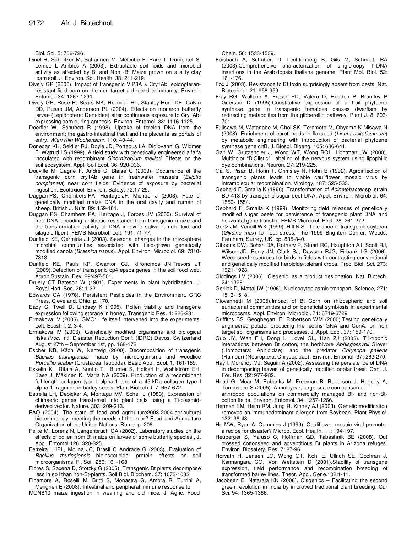Biol. Sci. 5: 706-726.

- Dinel H, Schnitzer M, Saharinen M, Meloche F, Paré T, Dumontet S, Lemee L Ambles A (2003). Extractable soil lipids and microbial activity as affected by Bt and Non -Bt Maize grown on a silty clay loam soil. J. Environ. Sci. Health. 38: 211-219.
- Dively GP (2005). Impact of transgenic VIP3A x Cry1Ab lepidopteranresistant field corn on the non-target arthropod community. Environ. Entomol. 34: 1267-1291.
- Dively GP, Rose R, Sears MK, Hellmich RL, Stanley-Horn DE, Calvin DD, Russo JM, Anderson PL (2004). Effects on monarch butterfly larvae (Lepidoptera: Danaidae) after continuous exposure to Cry1Abexpressing corn during anthesis. Environ. Entomol. 33: 1116-1125.
- Doerfler W, Schubert R (1998). Uptake of foreign DNA from the environment: the gastro-intestinal tract and the placenta as portals of entry. *Wien Klin Wochenschr.* 110: 40-44.
- Donegan KK, Seidler RJ, Doyle JD, Porteous LA, Digiovanni G, Widmer F, Watrud LS (1999). A field study with genetically engineered alfalfa inoculated with recombinant *Sinorhizobium meliloti*: Effects on the soil ecosystem. Appl. Soil Ecol. 36: 920-936.
- Douville M, Gagné F, André C, Blaise C (2009). Occurrence of the transgenic corn cry1Ab gene in freshwater mussels (*Elliptio complanata*) near corn fields: Evidence of exposure by bacterial ingestion. Ecotoxicol. Environ. Safety, 72:17-25.
- Duggan PS, Chambers PA, Heritage JF, Michael J (2003). Fate of genetically modified maize DNA in the oral cavity and rumen of sheep. British J. Nutr. 89: 159-161.
- Duggan PS, Chambers PA, Heritage J, Forbes JM (2000). Survival of free DNA encoding antibiotic resistance from transgenic maize and the transformation activity of DNA in ovine saliva rumen fluid and silage effluent. FEMS Microbiol. Lett. 191: 71-77.
- Dunfield KE, Germida JJ (2003). Seasonal changes in the rhizosphere microbial communities associated with field-grown genetically modified canola (*Brassica napus*). Appl. Environ. Microbiol. 69: 7310- 7318.
- Dunfield KE, Pauls KP, Swanton CJ, Klironomos JN,Trevors JT (2009).Detection of transgenic cp4 epsps genes in the soil food web. Agron.Sustain. Dev. 29:497-501.
- Druery CT Bateson W (1901). Experiments in plant hybridization. J. Royal Hort. Soc. 26: 1-32.
- Edwards CA (1976). Persistent Pesticides in the Environment, CRC Press, Cleveland, Ohio, p. 170.
- Eady C, Twell D, Lindsey K (1995). Pollen viability and transgene expression following storage in honey. Transgenic Res. 4: 226-231.
- Ermakova IV (2006). GMO: Life itself intervened into the experiments. Lett. EcosInf. 2: 3-4.
- Ermakova IV (2006). Genetically modified organisms and biological risks.*Proc.* Intl. Disaster Reduction Conf. (IDRC) Davos, Switzerland August 27th – September 1st, pp. 168-172.
- Escher NB, Käch W, Nentwig (2000). Decomposition of transgenic *Bacillus thuringiensis* maize by microorganisms and woodlice *Porcellio scaber* (Crustacea: Isopoda). Basic Appl. Ecol. 1: 161-169.
- Eskelin K, Ritala A, Suntio T, Blumer S, Holkeri H, Wahlström EH, Baez J, Mäkinen K, Maria NA (2009). Production of a recombinant full-length collagen type I alpha-1 and of a 45-kDa collagen type I alpha-1 fragment in barley seeds. Plant Biotech J. 7: 657-672.
- Estrella LH, Depicker A, Montagu MV, Schell J (1983). Expression of chimaeric genes transferred into plant cells using a Ti-plasmidderived vector. Nature. 303: 209-213.
- FAO (2004). The state of food and agriculture2003-2004-agricultural biotechnology, meeting the needs of the poor? Food and Agriculture Organization of the United Nations, Rome. p. 208.
- Felke M, Lorenz N, Langenbruch GA (2002). Laboratory studies on the effects of pollen from Bt maize on larvae of some butterfly species., J. Appl. Entomol.126: 320-325.
- Ferreira LHPL, Molina JC, Brasil C Andrade G (2003). Evaluation of *Bacillus thuringiensis* bioinsecticidal protein effects on soil microorganisms. Fl. Soil. 256: 161-168
- Flores S, Saxena D, Stotzky G (2005). Transgenic Bt plants decompose less in soil than non-Bt-plants. Soil Biol. Biochem. 37: 1073-1082.
- Finamore A, Roselli M, Britti S, Monastra G, Ambra R, Turrini A, Mengheri E (2008). Intestinal and peripheral immune response to
- MON810 maize ingestion in weaning and old mice. J. Agric. Food

Chem. 56: 1533-1539.

- Forsbach A, Schubert D, Lechtenberg B, Gils M, Schmidt, RA (2003).Comprehensive characterization of single-copy T-DNA insertions in the Arabidopsis thaliana genome. Plant Mol. Biol. 52: 161-176.
- Fox J (2003). Resistance to Bt toxin surprisingly absent from pests. Nat. Biotechnol. 21: 958-959
- Fray RG, Wallace A, Fraser PD, Valero D, Heddon P, Bramley P Grierson D (1995).Constitutive expression of a fruit phytoene synthase gene in transgenic tomatoes causes dwarfism by redirecting metabolites from the gibberellin pathway. Plant J. 8: 693- 701
- Fujisawa M, Watanabe M, Choi SK, Teramoto M, Ohyama K Misawa N (2008). Enrichment of carotenoids in flaxseed (*Linum usitatissimum*) by metabolic engineering with introduction of bacterial phytoene synthase gene crtB. J. Biosci. Bioeng. 105: 636-641.
- Gan W, Grutzendler J, Wong WT, Wong ROL, Lichtman JW (2000). Multicolor "DiOlistic" Labeling of the nervous system using lipophilic dye combinations. Neuron, 27: 219-225.
- Gal S, Pisan B, Hohn T, Grimsley N, Hohn B (1992). Agroinfection of transgenic plants leads to viable cauliflower mosaic virus by intramolecular recombination. Virology, 187: 525-533.
- Gebhard F, Smalla K (1988). Transformation of *Acinetobacter* sp. strain BD 413 by transgenic sugar beet DNA. Appl. Environ. Microbiol. 64: 1550- 1554.
- Gebhard F, Smalla K (1999). Monitoring field releases of genetically modified sugar beets for persistence of transgenic plant DNA and horizontal gene transfer. FEMS Microbiol. Ecol. 28: 261-272.
- Gertz JM, Vencill WK (1999). Hill N.S., Tolerance of transgenic soybean (*Glycine max*) to heat stress. The 1999 Brighton Confer. Weeds. Farnham, Surrey, UK, pp. 835-840.
- Gibbons DW, Bohan DA, Rothery P, Stuart RC, Haughton AJ, Scott RJ, Wilson JD, Perry JN, Clark SJ, Dawson RJG, Firbank LG (2006). Weed seed resources for birds in fields with contrasting conventional and genetically modified herbicide-tolerant crops. Proc. Biol. Sci. 273: 1921-1928.
- Giddings LV (2006). 'Cisgenic' as a product designation. Nat. Biotech. 24: 1329.
- Gorlick D, Mattaj IW (1996). Nucleocytoplasmic transport. Science, 271: 1513-1518.
- Giovannetti M (2005).Impact of Bt Corn on rhizospheric and soil euhacterial communities and on beneficial symbiosis in experimental microcosms. Appl. Environ. Microbiol. 71: 6719-6729.
- Griffiths BS, Geoghegan IE, Robertson WM (2000).Testing genetically engineered potato, producing the lectins GNA and ConA, on non target soil organisms and processes. J. Appl. Ecol. 37: 159-170.
- Guo JY, Wan FH, Dong L, Lovei GL, Han ZJ (2008). Tri-trophic interactions between Bt cotton, the herbivore *Aphisgossypii* Glover (Homoptera: Aphididae), and the predator *Chrysopa pallens* (Rambur) (Neuroptera: Chrysopidae). Environ. Entomol. 37: 263-270.
- Hay I, Morency MJ, Séguin A (2002). Assessing the persistence of DNA in decomposing leaves of genetically modified poplar trees. Can. J. For. Res. 32: 977-982.
- Head G, Moar M, Eubanks M, Freeman B, Ruberson J, Hagerty A, Turnipseed S (2005). A multiyear, large-scale comparison of arthropod populations on commercially managed Bt- and non-Btcotton fields. Environ. Entomol. 34: 1257-1266.
- Herman EM, Helm RM, Jung R, Kinney AJ (2003). Genetic modification removes an immunodominant allergen from Soybean. Plant Physiol. 132: 36-43.
- Ho MW, Ryan A, Cummins J (1999). Cauliflower mosaic viral promoter a recipe for disaster? Microb. Ecol. Health. 11: 194-197.
- Heuberger S, Yafuso C, Hoffman GD, Tabashnik BE (2008). Out crossed cottonseed and adventitious Bt plants in Arizona refuges. Environ. Biosafety, Res. 7: 87-96.
- Horvath H, Jensen LG, Wong OT, Kohl E, Ullrich SE, Cochran J, Kannangara CG, Von Wettstein D (2001).Stability of transgene expression, field performance and recombination breeding of transformed barley lines. Theor. Appl. Gene.102:1-11.
- Jacobsen E, Nataraja KN (2008). Cisgenics Facilitating the second green revolution in India by improved traditional plant breeding. Cur Sci. 94: 1365-1366.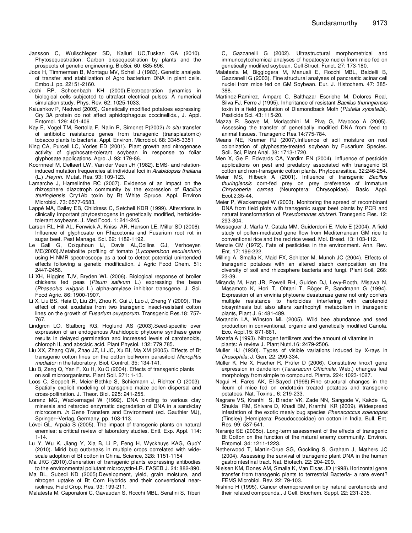- Jansson C, Wullschleger SD, Kalluri UC,Tuskan GA (2010). Phytosequestration: Carbon biosequestration by plants and the prospects of genetic engineering. BioSci. 60: 685-696.
- Joos H, Timmerman B, Montagu MV, Schell J (1983). Genetic analysis of transfer and stabilization of Agro bacterium DNA in plant cells. Embo J. pp. 22151-2160.
- Joshi RP, Schoenbach KH (2000).Electroporation dynamics in biological cells subjected to ultrafast electrical pulses: A numerical simulation study. Phys. Rev. 62: 1025-1033.
- Kalushkov P, Nedved (2005). Genetically modified potatoes expressing Cry 3A protein do not affect aphidophagous coccinellids., J. Appl. Entomol. 129: 401-406
- Kay E, Vogel TM, Bertolla F, Nalin R, Simonet P(2002).*In situ* transfer of antibiotic resistance genes from transgenic (transplastomic) tobacco plants to bacteria. Appl. Environ. Microbiol. 68: 3345-3351
- King CA, Purcell LC, Vories ED (2001). Plant growth and nitrogenase activity of glyphosate-tolerant soybean in response to foliar glyphosate applications. Agro. J. 93: 179-86.
- Koornneef M, Dellaert LW, Van der Veen JH (1982). EMS- and relationinduced mutation frequencies at individual loci in *Arabidopsis thaliana* (L.) .*Heynh.* Mutat. Res. 93: 109-123.
- Lamarche J, Hamelinthe RC (2007). Evidence of an impact on the rhizosphere diazotroph community by the expression of *Bacillus thuringiensis* Cry1Ab toxin by Bt White Spruce. Appl. Environ Microbiol. 73: 6577-6583.
- Lappé MA, Bailey EB, Childress C, Setchell KDR (1999). Alterations in clinically important phytoestrogens in genetically modified, herbicidetolerant soybeans. J. Med Food*.* 1: 241-245.
- Larson RL, Hill AL, Fenwick A, Kniss AR, Hanson LE, Miller SD (2006). Influence of glyphosate on Rhizoctonia and Fusarium root rot in sugar beet. Pest Manage. Sci. 62: 1182-1192.
- Le Gall G, Colquhoun IJ, Davis AL,Collins GJ, Verhoeyen ME(2003).Metabolite profiling of tomato (*Lycopersicon esculentum*) using H NMR spectroscopy as a tool to detect potential unintended effects following a genetic modification. J Agric Food Chem. 51: 2447-2456.
- Li XH, Higgins TJV, Bryden WL (2006). Biological response of broiler chickens fed peas (*Pisum sativum* L.) expressing the bean (*Phaseolus vulgaris* L.) alpha-amylase inhibitor transgene. J. Sci. Food Agric. 86: 1900-1907.
- Li X, Liu BS, Heia D, Liu ZH, Zhou K, Cui J, Luo J, Zheng Y (2009). The effect of root exudates from two transgenic insect-resistant cotton lines on the growth of *Fusarium oxysporum.* Transgenic Res.18: 757- 767.
- Lindgrcn LO, Stalbcrg KG, Hoglund AS (2003).Seed-specific over expression of an endogenous Arahidopcic phytoene synthase gene results in delayed germination and increased levels of carotenoids, chloroph II, and abscisic acid. Plant Physiol. 132: 779 785.
- Liu XX, Zhang QW, Zhao JZ, Li JC, Xu BI, Ma XM (2005). Effects of Bt transgenic cotton lines on the cotton bollworm parasitoid *Microplitis mediator* in the laboratory. Biol. Control, 35: 134-141.
- Liu B, Zeng Q, Yan F, Xu H, Xu C (2004). Effects of transgenic plants on soil microorganisms. Plant Soil. 271: 1-13.
- Loos C, Seppelt R, Meier-Bethke S, Schiemann J, Richter O (2003). Spatially explicit modeling of transgenic maize pollen dispersal and cross-pollination. J. Theor. Biol. 225: 241-255.
- Lorenz MG, Wackernagel W (1992). DNA binding to various clay minerals and retarded enzymatic degradation of DNA in a sand/clay microcosm. *in* Gene Transfers and Environment (ed. Gauthier MJ), Springer–Verlag, Germany, pp. 103-113.
- Lövei GL, Arpaia S (2005). The impact of transgenic plants on natural enemies: a critical review of laboratory studies. Entl. Exp. Appl. 114: 1-14.
- Lu Y, Wu K, Jiang Y, Xia B, Li P, Feng H, Wyckhuys KAG, GuoY (2010). Mirid bug outbreaks in multiple crops correlated with widescale adoption of Bt cotton in China. Science, 328: 1151-1154
- Ma JKC (2010).Generation of transgenic plants expressing antibodies to the environmental pollutant microcystin-LR. FASEB J. 24: 882-890.
- Ma BL, Subedi KD (2005).Development, yield, grain moisture, and nitrogen uptake of Bt Corn Hybrids and their conventional nearisolines, Field Crop. Res. 93: 199-211.
- Malatesta M, Caporaloni C, Gavaudan S, Rocchi MBL, Serafini S, Tiberi

C, Gazzanelli G (2002). Ultrastructural morphometrical and immunocytochemical analyses of hepatocyte nuclei from mice fed on genetically modified soybean. Cell Struct. Funct. 27: 173-180.

- Malatesta M, Biggiogera M, Manuali E, Rocchi MBL, Baldelli B, Gazzanelli G (2003). Fine structural analyses of pancreatic acinar cell nuclei from mice fed on GM Soybean. Eur. J. Histochem. 47: 385- 388.
- Martinez-Ramirez, Amparo C, Balthazar Escriche M, Dolores Real, Silva FJ, Ferre J (1995). Inheritance of resistant *Bacillus thuringiensis* toxin in a field population of Diamondback Moth (*Plutella xylostella*). Pesticide Sci. 43: 115-20.
- Mazza R, Soave M, Morlacchini M, Piva G, Marocco A (2005). Assessing the transfer of genetically modified DNA from feed to animal tissues. Transgenic Res.14:775-784.
- Means NE, Kremer RJ (2007).Influence of soil moisture on root colonization of glyphosate-treated soybean by Fusarium Species. Soil. Sci, Plant Anal. 38: 1713-1720.
- Men X, Ge F, Edwards CA, Yardim EN (2004). Influence of pesticide applications on pest and predatory associated with transgenic Bt cotton and non-transgenic cotton plants. Phytoparasitica, 32:246-254.
- Meier MS, Hilbeck A (2001). Influence of transgenic *Bacillus thuringiensis* corn-fed prey on prey preference of immature *Chrysoperla carnea* (Neuroptera: Chrysopidae). Basic Appl. Ecol.2:35-44.
- Meier P, Wackernagel W (2003). Monitoring the spread of recombinant DNA from field plots with transgenic sugar beet plants by PCR and natural transformation of *Pseudomonas stutzeri*. Transgenic Res. 12: 293-304.
- Messeguer J, Marfa V, Catala MM, Guiderdoni E, Mele E (2004). A field study of pollen-mediated gene flow from Mediterranean GM rice to conventional rice and the red rice weed. Mol. Breed. 13: 103-112.
- Menzie CM (1972). Fate of pesticides in the environment. Ann. Rev. Ent. 17: 199-222.
- Milling A, Smalla K, Maid FX, Schloter M, Munch JC (2004). Effects of transgenic potatoes with an altered starch composition on the diversity of soil and rhizosphere bacteria and fungi. Plant Soil, 266: 23-39.
- Miranda M, Hart JR, Powell RH, Gulden DJ, Levy-Booth, Misawa N, Masamoto K, Hori T, Ohtani T, Böger P, Sandmann G (1994). Expression of an erwinia phytoene desaturase gene not only confers multiple resistance to herbicides interfering with carotenoid biosynthesis but also alters xanthophyll metabolism in transgenic plants, Plant J. 6: 481-489.
- Morandin LA, Winston ML (2005). Wild bee abundance and seed production in conventional, organic and genetically modified Canola. Eco. Appl.15: 871-881.
- Mozafa A (1993). Nitrogen fertilizers and the amount of vitamins in plants: A review J. Plant Nutri.16: 2479-2506.
- Muller HJ (1930). Types of visible variations induced by X-rays in *Drosophila*; J. Gen. 22: 299-334.
- Müller K, He X, Fischer R, Prüfer D (2006). Constitutive knox1 gene expression in dandelion (*Taraxacum Officinale*, Web.) changes leaf morphology from simple to compound. Planta. 224: 1023-1027.
- Nagui H, Fares AK, El-Sayed (1998).Fine structural changes in the ileum of mice fed on endotoxin treated potatoes and transgenic potatoes. Nat. Toxins,*.* 6: 219-233.
- Nagrare VS, Kranthi S, Biradar VK, Zade NN, Sangode V, Kakde G, Shukla RM, Shivare D, Khadi BM, Kranthi KR (2009). Widespread infestation of the exotic mealy bug species *Phenacoccus solenopsis* (Tinsley) (Hemiptera: Pseudococcidae) on cotton in India. Bull. Ent. Res. 99: 537-541.
- Naranjo SE (2005b). Long-term assessment of the effects of transgenic Bt Cotton on the function of the natural enemy community. Environ. Entomol. 34: 1211-1223.
- Netherwood T, Martin-Orue SG, Gockling S, Graham J, Mathers JC (2004). Assessing the survival of transgenic plant DNA in the human gastrointestinal tract. Nat. Biotech. 22: 204-209.
- Nielsen KM, Bones AM, Smalla K, Van Elsas JD (1998).Horizontal gene transfer from transgenic plants to terrestrial Bacteria- a rare event? FEMS Microbiol. Rev. 22: 79-103.
- Nishino H (1995). Cancer chemoprevention by natural carotenoids and their related compounds., J Cell. Biochem. Suppl. 22: 231-235.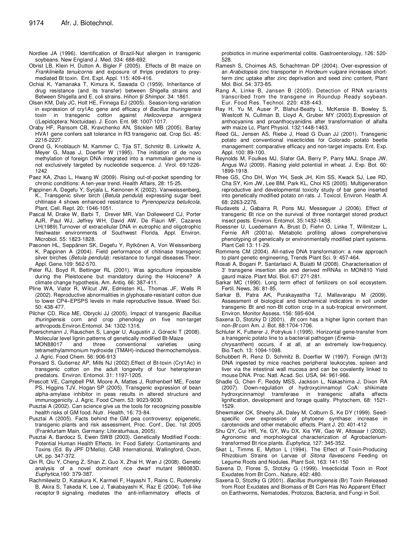- Nordlee JA (1996). Identification of Brazil-Nut allergen in transgenic soybeans. New England J. Med. 334: 688-692.
- Obrist LB, Klein H, Dutton A, Bigler F (2005). Effects of Bt maize on *Frankliniella tenuicornis* and exposure of thrips predators to preymediated Bt toxin. Ent. Expt. Appl. 115: 409-416.
- Ochiai K, Yamanaka T, Kimura K, Sawada O (1959). Inheritance of drug resistance (and its transfer) between Shigella strains and Between Shigella and E. coli strains. *Hihon Iji Shimpor*. 34: 1861.
- Olsen KM, Daly JC, Holt HE, Finnega EJ (2005). Season-long variation in expression of cry1Ac gene and efficacy of *Bacillus thuringiensis* toxin in transgenic cotton against *Helicoverpa armigera* ((Lepidoptera: Noctuidae). J. Econ. Ent. 98: 1007-1017.
- Oraby HF, Ransom CB, Kravchenko AN, Sticklen MB (2005). Barley HVA1 gene confers salt tolerance in R3 transgenic oat. Crop Sci. 45: 2218-2227.
- Orend G, Knoblauch M, Kammer C, Tjia ST, Schmitz B, Linkwitz A, Meyer G, Maas J, Doerfler W (1995). The initiation of de novo methylation of foreign DNA integrated into a mammalian genome is not exclusively targeted by nucleotide sequence. J. Virol. 69:1226- 1242
- Paez KA, Zhao L, Hwang W (2009). Rising out-of-pocket spending for chronic conditions: A ten-year trend. Health Affairs, 28: 15-25.
- Pappinen A, Degefu Y, Syrjala L, Keinonen K (2002). Vanweissenberg, K., Transgenic silver birch (*Betula pendula*) expressing sugar beet chitinase 4 shows enhanced resistance to *Pyrenopeziza betulicola*, Plant. Cell. Rept. 20: 1046-1051.
- Pascal M, Drake W, Barbi T, Drever MR, Van Dolleweerd CJ, Porter AJR, Paul WJ, Jeffrey WH, David AW, De Flaun MF, Cazares LH(1989).Turnover of extracellular DNA in eutrophic and oligotrophic freshwater environments of Southwest Florida. Appl. Environ. Microbiol. 55: 1823-1828.
- Pasonen HL, Seppänen SK, Degefu Y, Rytkönen A, Von Weissenberg K, Pappinen A (2004). Field performance of chitinase transgenic silver birches (*Betula pendula*): resistance to fungal diseases.Theor. Appl. Gene.109: 562-570.
- Peter RJ, Boyd R, Bettinger RL (2001). Was agriculture impossible during the Pleistocene but mandatory during the Holocene? A climate change hypothesis. Am. Antiq. 66: 387-411.
- Pline WA, Viator R, Wilcut JW, Edmisten KL, Thomas JF, Wells R (2002). Reproductive abnormalities in glyphosate-resistant cotton due to lower CP4–EPSPS levels in male reproductive tissue. Weed Sci. 50: 438-477.
- Pilcher CD, Rice ME, Obrycki JJ (2005). Impact of transgenic *Bacillus thuringiensis* corn and crop phenology on five non-target arthropods.Environ.Entomol. 34: 1302-1316.
- Poerschmann J, Rauschen S, Langer U, Augustin J, Górecki T (2008). Molecular level lignin patterns of genetically modified Bt-Maize and three conventional varieties using tetramethylammonium hydroxide (TMAH)-induced thermochemolysis.
- J. Agric. Food Chem. 56: 906-913 Ponsard S, Gutierrez AP, Mills NJ (2002).Effect of Bt-toxin (Cry1Ac) in transgenic cotton on the adult longevity of four heteropteran
- predators. Environ. Entomol. 31: 1197-1205. Prescott VE, Campbell PM, Moore A, Mattes J, Rothenberf ME, Foster PS, Higgins TJV, Hogan SP (2005). Transgenic expression of bean alpha-amylase inhibitor in peas results in altered structure and immunogenicity. J. Agric. Food Chem. 53: 9023-9030.
- Pusztai A (2002). Can science give us the tools for recognizing possible health risks of GM food. Nutr. Health, 16: 73-84.
- Pusztai A (2005). Facts behind the GM pea controversy: epigenetic, transgenic plants and risk assessment, Proc. Conf., Dec. 1st 2005 (Frankfurtam Main, Germany: Literaturhaus, 2005).
- Pusztai A, Bardocz S, Ewen SWB (2003). Genetically Modified Foods: Potential Human Health Effects. In: Food Safety: Contaminants and Toxins (Ed. By JPF D'Mello). CAB International, Wallingford, Oxon, UK. pp. 347-372.
- Qin R, Qiu Y, Cheng Z, Shan Z, Guo X, Zhai H, Wan J (2008). Genetic analysis of a novel dominant rice dwarf mutant 986083D. *Euphytica,*160: 379-387.
- Rachmilewitz D, Katakura K, Karmeli F, Hayashi T, Rains C, Rudensky B, Akira S, Takeda K, Lee J, Takabayashi K, Raz E (2004). Toll-like receptor 9 signaling mediates the anti-inflammatory effects of

probiotics in murine experimental colitis. Gastroenterology, 126: 520- 528.

- Ramesh S, Choimes AS, Schachtman DP (2004). Over-expression of an *Arabidopsis* zinc transporter in *Hordeum vulgare* increases shortterm zinc uptake after zinc deprivation and seed zinc content, Plant Mol. Biol. 54: 373-85.
- Rang A, Linke B, Jansen B (2005). Detection of RNA variants transcribed from the transgene in Roundup Ready soybean. Eur. Food Res. Technol. 220: 438-443.
- Ray H, Yu M, Auser P, Blahut-Beatty L, McKersie B, Bowley S, Westcott N, Cullman B, Lloyd A, Gruber MY (2003).Expression of anthocyanins and proanthocyanidins after transformation of alfalfa with maize Lc, Plant Physiol. 132:1448-1463.
- Reed GL, Jensen AS, Riebe J, Head G Duan JJ (2001). Transgenic potato and conventional insecticides for Colorado potato beetle management: comparative efficacy and non-target impacts. Ent. Exp. Appl. 100: 89-100.
- Reynolds M, Foulkes MJ, Slafer GA, Berry P, Parry MAJ, Snape JW, Angus WJ (2009). Raising yield potential in wheat. J. Exp. Bot. 60: 1899-1918.
- Rhee GS, Cho DH, Won YH, Seok JH, Kim SS, Kwack SJ, Lee RD, Cha SY, Kim JW, Lee BM, Park KL, Choi KS (2005). Multigeneration reproductive and developmental toxicity study of bar gene inserted into genetically modified potato on rats. J. Toxicol. Environ. Health *A*. 68: 2263-2276.
- Riudavets J, Gabarra R, Pons MJ, Messeguer J (2006). Effect of transgenic Bt rice on the survival of three nontarget stored product insect pests. Environ. Entomol. 35:1432-1438.
- Roessner U, Luedemann A, Brust D, Fiehn O, Linke T, Willmitzer L, Fernie AR (2001a). Metabolic profiling allows comprehensive phenotyping of genetically or environmentally modified plant systems. Plant Cell 13: 11-29.
- Rommens CM (2004). All-native DNA transformation: a new approach to plant genetic engineering, Trends Plant Sci. 9: 457-464.
- Rosati A, Bogani P, Santarlasci A, Buiatti M (2008). Characterisation of 3' transgene insertion site and derived mRNAs in MON810 Yield gaurd maize. Plant Mol. Biol. 67: 271-281.
- Sarkar MC (1990). Long term effect of fertilizers on soil ecosystem. Fertil. News, 36: 81-85.
- Sarkar B, Patra AK, Purakayastha TJ, Mallavarapu M (2009). Assessment of biological and biochemical indicators in soil under transgenic Bt and non-Bt cotton crop in a sub-tropical environment. Environ. Monitor Assess. 156: 595-604.
- Saxena D, Stotzky D (2001). *Bt* corn has a higher lignin content than non-*Bt* corn Am. J. Bot. 88:1704-1706.
- Schluter K, Futterer J, Potrykus I (1995). Horizontal gene-transfer from a transgenic potato line to a bacterial pathogen (*Erwinia-*

*chrysanthem*) occurs, if at all, at an extremely low-frequency. Bio.Tech. 13: 1094-1098.

- Schubbert R, Renz D, Schmitz B, Doerfler W (1997). Foreign (M13) DNA ingested by mice reaches peripheral leukocytes, spleen and liver via the intestinal wall mucosa and can be covalently linked to mouse DNA. Proc. Natl. Acad. Sci. USA, 94: 961-966.
- Shadle G, Chen F, Reddy MSS, Jackson L, Nakashima J, Dixon RA (2007). Down-regulation of hydroxycinnamoyl CoA: shikimate hydroxycinnamoyl transferase in transgenic alfalfa affects lignification, development and forage quality. Phytochem, 68: 1521- 1529.
- Shewmaker CK, Sheehy JA, Daley M, Colburn S, Ke DY (1999). Seedspecific over expression of phytoene synthase: increase in carotenoids and other metabolic effects. Plant J. 20: 401-412
- Shu QY, Cui HR, Ye, GY, Wu DX, Xia YW, Gao W, Altosaar I (2002). Agronomic and morphological characterization of Agrobacteriumtransformed Bt rice plants. *Euphytica*, 127: 345-352.
- Skøt L, Timms E, Mytton L (1994). The Effect of Toxin-Producing Rhizobium Strains on Larvae of *Sitona flavescens* Feeding on Legume Roots and Nodules. Plant Soil, 163: 141-150
- Saxena D, Flores S, Stotzky G (1999). Insecticidal Toxin in Root Exudates from Bt Corn., Nature, 402: 480.
- Saxena D, Stoztky G (2001). *Bacillus thuringiensis* (Br) Toxin Released from Root Exudates and Biomass of Bt Corn Has No Apparent Effect on Earthworms, Nematodes, Protozoa, Bacteria, and Fungi in Soil.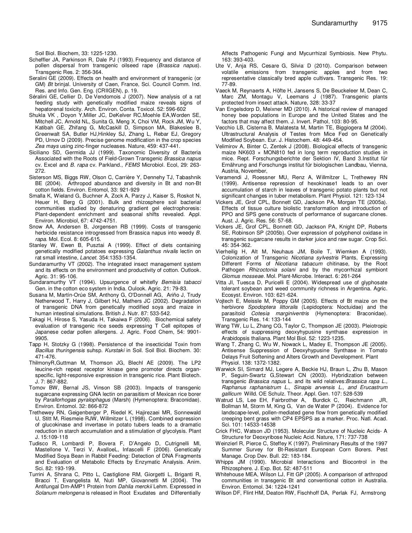Soil Biol. Biochem, 33: 1225-1230.

- Scheffler JA, Parkinson R, Dale PJ (1993). Frequency and distance of pollen dispersal from transgenic oilseed rape (*Brassica napus*). Transgenic Res. 2: 356-364.
- Seralini GE (2009). Effects on health and environment of transgenic (or GM) *Bt* brinjal. University of Caen, France, Sci. Council Comm. Ind. Res. and Info. Gen. Eng. (CRIIGEN), p. 19.
- Séralini GE, Cellier D, De Vendomois J (2007). New analysis of a rat feeding study with genetically modified maize reveals signs of hepatorenal toxicity. Arch. Environ. Conta. Toxicol. 52: 596-602
- Shukla VK , Doyon Y,Miller JC, DeKelver RC,Moehle EA,Worden SE, Mitchell JC, Arnold NL, Sunita G, Meng X, Choi VM, Rock JM, Wu Y, Katibah GE, Zhifang G, McCaskill D, Simpson MA, Blakeslee B, Greenwalt SA, Butler HJ,Hinkley SJ, Zhang L, Rebar EJ, Gregory PD, Urnov D (2009). Precise genome modification in the crop species *Zea mays* using zinc-finger nucleases. Nature, 459: 437-441.
- Siciliano SD, Germida JJ (1999). Taxonomic Diversity of Bacteria Associated with the Roots of Field-Grown Transgenic *Brassica napus* cv. Excel and *B. rapa* cv. Parkland., *FEMS* Microbiol. Ecol, 29: 263- 272.
- Sisterson MS, Biggs RW, Olson C, Carrière Y, Dennehy TJ, Tabashnik BE (2004). Arthropod abundance and diversity in Bt and non-Bt cotton fields. Environ. Entomol, 33: 921-929
- Smalla K, Wieland G, Buchner A, Zock A, Parzy J, Kaiser S, Roskot N, Heuer H, Berg G (2001). Bulk and rhizosphere soil bacterial communities studied by denaturing gradient gel electrophoresis: Plant-dependent enrichment and seasonal shifts revealed. Appl. Environ. Microbiol, 67: 4742-4751.
- Snow AA, Andersen B, Jorgensen RB (1999). Costs of transgenic herbicide resistance introgressed from Brassica napus into weedy *B. rapa*. Mol. Ecol. 8: 605-615.
- Stanley W, Ewen B, Pusztai A (1999). Effect of diets containing genetically modified potatoes expressing *Galanthus nivalis* lectin on rat small intestine, *Lancet.* 354:1353-1354.
- Sundaramurthy VT (2002). The integrated insect management system and its effects on the environment and productivity of cotton. Outlook. Agric. 31: 95-106.
- Sundaramurthy VT (1994). Upsurgence of whitefly *Bemisia tabacci* Gen. in the cotton eco system in India. Oulook. Agric. 21: 79-83.
- Susana M, Martín-Orúe SM, Anthony G, O'Donnell AG, Ariño J, Trudy Netherwood T, Harry J, Gilbert HJ, Mathers JC (2002). Degradation of transgenic DNA from genetically modified soya and maize in human intestinal simulations. British J. Nutr. 87: 533-542.
- Takagi H, Hirose S, Yasuda H, Takaiwa F (2006). Biochemical safety evaluation of transgenic rice seeds expressing T Cell epitopes of Japanese cedar pollen allergens. J. Agric. Food Chem*,* 54: 9901- 9905.
- Tapp H, Stotzky G (1998). Persistence of the insecticidal Toxin from *Bacillus thuringensis* suhsp. *Kurstaki* in Soil. Soil Biol. Biochem. 30: 471-476.
- ThilmonyR,Guttman M, Thomson JG, Blechl AE (2009). The LP2 leucine-rich repeat receptor kinase gene promoter directs organspecific, light-responsive expression in transgenic rice. Plant Biotech. J. 7: 867-882.
- Tomov BW, Bernal JS, Vinson SB (2003). Impacts of transgenic sugarcane expressing GNA lectin on parasitism of Mexican rice borer by *Parallorhogas pyralophagus* (Marsh) (Hymenoptera: Braconidae). Environ. Entomol. 32: 866-872
- Trethewey RN, Geigenberger P, Riedel K, Hajirezaei MR, Sonnewald U, Stitt M, Riesmeie RJW, Willmitzer L (1998). Combined expression of glucokinase and invertase in potato tubers leads to a dramatic reduction in starch accumulation and a stimulation of glycolysis. Plant J. 15:109-118
- Tudisco R, Lombardi P, Bovera F, D'Angelo D, Cutrignelli MI, Mastellone V, Terzi V, AvalloeL, Infascelli F (2006). Genetically Modified Soya Bean in Rabbit Feeding: Detection of DNA Fragments and Evaluation of Metabolic Effects by Enzymatic Analysis. Anim. Sci. 82: 193-199.
- Turrini A, Shrana C, Pitto L, Castiglione RM, Giorgetti L, Briganti R, Bracci T, Evangelista M, Nuti MP, Giovannetti M (2004). The Antifungal Dm-AMP1 Protein from *Dahlia merckii* Lehm. Expressed in *Solanum melongena* is released in Root Exudates and Differentially

Affects Pathogenic Fungi and Mycurrhizal Symbiosis. New Phytu. 163: 393-403.

- Ute V, Anja RS, Cesare G, Silvia D (2010). Comparison between volatile emissions from transgenic apples and from two representative classically bred apple cultivars. Transgenic Res. 19: 77-89.
- Vaeck M, Reynaerts A, Höfte H, Jansens S, De Beuckeleer M, Dean C, Marc ZM, Montagu V, Leemans J (1987). Transgenic plants protected from insect attack. Nature, 328: 33-37
- Van Engelsdorp D, Meixner MD (2010). A historical review of managed honey bee populations in Europe and the United States and the factors that may affect them. J. Invert. Pathol, 103: 80-95.
- Vecchio LB, Cisterna B, Malatesta M, Martin TE, Biggiogera M (2004). Ultrastructural Analysis of Testes from Mice Fed on Genetically Modified Soybean. Eur. J. Histochem. 48: 449-454.
- Velimirov A, Binter C, Zentek J (2008). Biological effects of transgenic maize NK603 × MON810 fed in long term reproduction studies in mice. Rept. Forschungsberichte der Sektion IV, Band 3.Institut für Ernährung and Forschungs institut für biologischen Landbau, Vienna, Austria, November,
- Veramendi J, Roessner MU, Renz A, Willmitzer L, Trethewey RN (1999). Antisense repression of hexokinase1 leads to an over accumulation of starch in leaves of transgenic potato plants but not significant changes in tuber metabolism. Plant Physiol. 121: 123-134
- Vickers JE, Grof CPL, Bonnett GD, Jackson PA, Morgan TE (2005a). Effects of tissue culture biolistic transformation and introduction of PPO and SPS gene constructs of performance of sugarcane clones. Aust. J. Agric. Res. 56: 57-68.
- Vickers JE, Grof CPL, Bonnett GD, Jackson PA, Knight DP, Roberts SE, Robinson SP (2005b). Over expression of polyphenol oxidase in transgenic sugarcane results in darker juice and raw sugar. Crop Sci. 45: 354-362.
- Vierheilig H, Alt M, Neuhaus JM, Boile T, Wiemken A (1993). Colonization of Transgenic *Nicotiana sylvestris* Plants, Expressing Different Forms of *Nicotiana tabacum* chitinase, by the Root Pathogen *Rhizoctonia solani* and by the mycorrhizal symbiont *Glomus mosseae*. Mol. Plant-Microbe. Interact. 6: 261-264
- Vitta JI, Tuesca D, Puricelli E (2004). Widespread use of glyphosate tolerant soybean and weed community richness in Argentina. Agric. Ecosyst. Environ. 103: 621-624.
- Vojtech E, Meissle M, Poppy GM (2005). Effects of Bt maize on the herbivore *Spodoptera littoralis* (Lepidoptera: Noctuidae) and the parasitoid *Cotesia marginiventris* (Hymenoptera: Braconidae). Transgenic Res. 14: 133-144
- Wang TW, Lu L, Zhang CG, Taylor C, Thompson JE (2003). Pleiotropic effects of suppressing deoxyhypusine synthase expression in Arabidopsis thaliana. Plant Mol Biol. 52: 1223-1235.
- Wang T, Zhang C, Wu W, Nowack L, Madey E, Thompson JE (2005). Antisense Suppression of Deoxyhypusine Synthase in Tomato Delays Fruit Softening and Alters Growth and Development. Plant Physiol. 138: 1372-1382.
- Warwick SI, Simard MJ, Legere A, Beckie HJ, Braun L, Zhu B, Mason P, Seguin-Swartz G,Stewart CN (2003). Hybridization between transgenic *Brassica napus* L. and its wild relatives:*Brassica rapa L., Raphanus raphanistrum L., Sinapis arvensis L., and Erucastrum gallicum* Willd. OE Schulz. Theor. Appl. Gen. 107: 528-539
- Watrud LS, Lee EH, Fairbrother A, Burdick C, Reichmann JR, Bollman M, Storm M, King G, Van de Water P (2004). Evidence for landscape-level, pollen-mediated gene flow from genetically modified creeping bent grass with CP4 EPSPS as a marker. Proc. Natl. Acad. Sci. 101: 14533-14538
- Crick FHC, Watson JD (1953). Molecular Structure of Nucleic Acids- A Structure for Deoxyribose Nucleic Acid. Nature, 171: 737-738
- Weinzierl R, Pierce C, Steffey K (1997). Preliminary Results of the 1997 Summer Survey for Bt-Resistant European Corn Borers. Pest Manage. Crop Dev. Bull. 22: 183-184.
- Whipps JM (1990). Microbial Interactions and Biocontrol in the Rhizosphere. J. Exp. Bot. 52: 487-511
- Whitehouse MEA, Wilson LJ, Fitt GP (2005). A comparison of arthropod communities in transgenic Bt and conventional cotton in Australia. Environ. Entomol. 34: 1224-1241
- Wilson DF, Flint HM, Deaton RW, Fischhoff DA, Perlak FJ, Armstrong